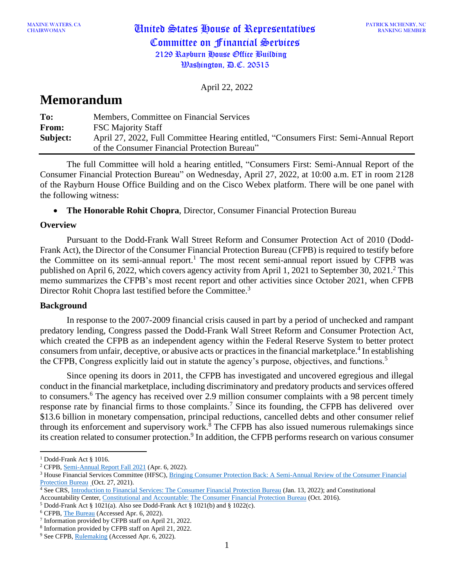April 22, 2022

# **Memorandum**

| To:      | Members, Committee on Financial Services                                              |
|----------|---------------------------------------------------------------------------------------|
| From:    | <b>FSC Majority Staff</b>                                                             |
| Subject: | April 27, 2022, Full Committee Hearing entitled, "Consumers First: Semi-Annual Report |
|          | of the Consumer Financial Protection Bureau"                                          |

The full Committee will hold a hearing entitled, "Consumers First: Semi-Annual Report of the Consumer Financial Protection Bureau" on Wednesday, April 27, 2022, at 10:00 a.m. ET in room 2128 of the Rayburn House Office Building and on the Cisco Webex platform. There will be one panel with the following witness:

• **The Honorable Rohit Chopra**, Director, Consumer Financial Protection Bureau

## **Overview**

Pursuant to the Dodd-Frank Wall Street Reform and Consumer Protection Act of 2010 (Dodd-Frank Act), the Director of the Consumer Financial Protection Bureau (CFPB) is required to testify before the Committee on its semi-annual report.<sup>1</sup> The most recent semi-annual report issued by CFPB was published on April 6, 2022, which covers agency activity from April 1, 2021 to September 30, 2021.<sup>2</sup> This memo summarizes the CFPB's most recent report and other activities since October 2021, when CFPB Director Rohit Chopra last testified before the Committee.<sup>3</sup>

# **Background**

In response to the 2007-2009 financial crisis caused in part by a period of unchecked and rampant predatory lending, Congress passed the Dodd-Frank Wall Street Reform and Consumer Protection Act, which created the CFPB as an independent agency within the Federal Reserve System to better protect consumers from unfair, deceptive, or abusive acts or practices in the financial marketplace. 4 In establishing the CFPB, Congress explicitly laid out in statute the agency's purpose, objectives, and functions.<sup>5</sup>

Since opening its doors in 2011, the CFPB has investigated and uncovered egregious and illegal conduct in the financial marketplace, including discriminatory and predatory products and services offered to consumers.<sup>6</sup> The agency has received over 2.9 million consumer complaints with a 98 percent timely response rate by financial firms to those complaints.<sup>7</sup> Since its founding, the CFPB has delivered over \$13.6 billion in monetary compensation, principal reductions, cancelled debts and other consumer relief through its enforcement and supervisory work. <sup>8</sup> The CFPB has also issued numerous rulemakings since its creation related to consumer protection.<sup>9</sup> In addition, the CFPB performs research on various consumer

<sup>&</sup>lt;sup>1</sup> Dodd-Frank Act § 1016.

<sup>2</sup> CFPB, [Semi-Annual Report](https://files.consumerfinance.gov/f/documents/cfpb_semi-annual-report-to-congress_2022-04.pdf) Fall 2021 (Apr. 6, 2022).

<sup>&</sup>lt;sup>3</sup> House Financial Services Committee (HFSC), Bringing Consumer Protection Back: A Semi-Annual Review of the Consumer Financial [Protection Bureau](https://financialservices.house.gov/events/eventsingle.aspx?EventID=408560) (Oct. 27, 2021).

<sup>4</sup> See CRS, [Introduction to Financial Services: The Consumer Financial Protection Bureau](https://www.crs.gov/Reports/IF10031) (Jan. 13, 2022); and Constitutional Accountability Center, [Constitutional and Accountable: The Consumer Financial Protection Bureau](https://www.theusconstitution.org/think_tank/constitutional-and-accountable-the-consumer-financial-protection-bureau/) (Oct. 2016).

 $5$  Dodd-Frank Act § 1021(a). Also see Dodd-Frank Act § 1021(b) and § 1022(c).

<sup>6</sup> CFPB, [The Bureau](https://www.consumerfinance.gov/about-us/the-bureau/) (Accessed Apr. 6, 2022).

<sup>7</sup> Information provided by CFPB staff on April 21, 2022.

<sup>8</sup> Information provided by CFPB staff on April 21, 2022.

<sup>&</sup>lt;sup>9</sup> See CFPB, [Rulemaking](https://www.consumerfinance.gov/rules-policy/) (Accessed Apr. 6, 2022).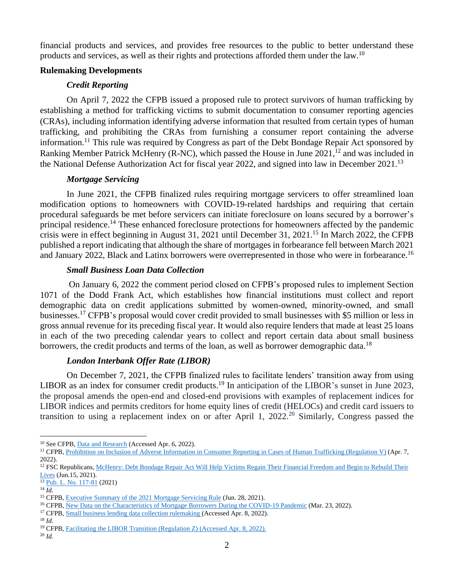financial products and services, and provides free resources to the public to better understand these products and services, as well as their rights and protections afforded them under the law.<sup>10</sup>

## **Rulemaking Developments**

## *Credit Reporting*

On April 7, 2022 the CFPB issued a proposed rule to protect survivors of human trafficking by establishing a method for trafficking victims to submit documentation to consumer reporting agencies (CRAs), including information identifying adverse information that resulted from certain types of human trafficking, and prohibiting the CRAs from furnishing a consumer report containing the adverse information.<sup>11</sup> This rule was required by Congress as part of the Debt Bondage Repair Act sponsored by Ranking Member Patrick McHenry (R-NC), which passed the House in June  $2021<sup>12</sup>$  and was included in the National Defense Authorization Act for fiscal year 2022, and signed into law in December 2021.<sup>13</sup>

# *Mortgage Servicing*

In June 2021, the CFPB finalized rules requiring mortgage servicers to offer streamlined loan modification options to homeowners with COVID-19-related hardships and requiring that certain procedural safeguards be met before servicers can initiate foreclosure on loans secured by a borrower's principal residence.<sup>14</sup> These enhanced foreclosure protections for homeowners affected by the pandemic crisis were in effect beginning in August 31, 2021 until December 31, 2021.<sup>15</sup> In March 2022, the CFPB published a report indicating that although the share of mortgages in forbearance fell between March 2021 and January 2022, Black and Latinx borrowers were overrepresented in those who were in forbearance.<sup>16</sup>

## *Small Business Loan Data Collection*

On January 6, 2022 the comment period closed on CFPB's proposed rules to implement Section 1071 of the Dodd Frank Act, which establishes how financial institutions must collect and report demographic data on credit applications submitted by women-owned, minority-owned, and small businesses.<sup>17</sup> CFPB's proposal would cover credit provided to small businesses with \$5 million or less in gross annual revenue for its preceding fiscal year. It would also require lenders that made at least 25 loans in each of the two preceding calendar years to collect and report certain data about small business borrowers, the credit products and terms of the loan, as well as borrower demographic data.<sup>18</sup>

## *London Interbank Offer Rate (LIBOR)*

On December 7, 2021, the CFPB finalized rules to facilitate lenders' transition away from using LIBOR as an index for consumer credit products.<sup>19</sup> In anticipation of the LIBOR's sunset in June 2023, the proposal amends the open-end and closed-end provisions with examples of replacement indices for LIBOR indices and permits creditors for home equity lines of credit (HELOCs) and credit card issuers to transition to using a replacement index on or after April 1, 2022. <sup>20</sup> Similarly, Congress passed the

<sup>18</sup> *Id.*

<sup>20</sup> *Id.*

<sup>&</sup>lt;sup>10</sup> See CFPB, **Data and Research** (Accessed Apr. 6, 2022).

<sup>&</sup>lt;sup>11</sup> CFPB, <u>Prohibition on Inclusion of Adverse Information in Consumer Reporting in Cases of Human Trafficking (Regulation V)</u> (Apr. 7, 2022).

<sup>&</sup>lt;sup>12</sup> FSC Republicans, McHenry: Debt Bondage Repair Act Will Help Victims Regain Their Financial Freedom and Begin to Rebuild Their [Lives](https://republicans-financialservices.house.gov/news/documentsingle.aspx?DocumentID=408017) (Jun.15, 2021).

<sup>&</sup>lt;sup>13</sup> Pub. L. No. [117-81](https://www.congress.gov/bill/117th-congress/senate-bill/1605) (2021)

 $^{14}$   $\overline{Id}$ .

<sup>&</sup>lt;sup>15</sup> CFPB, [Executive Summary of the 2021 Mortgage Servicing Rule](https://files.consumerfinance.gov/f/documents/cfpb_covid-mortgage-servicing-rule_executive-summary_2021-06.pdf) (Jun. 28, 2021).

<sup>&</sup>lt;sup>16</sup> CFPB, <u>New Data on the Characteristics of Mortgage Borrowers During the COVID-19 Pandemic</u> (Mar. 23, 2022).

<sup>&</sup>lt;sup>17</sup> CFPB, [Small business lending data collection rulemaking \(](https://www.consumerfinance.gov/1071-rule/)Accessed Apr. 8, 2022).

<sup>19</sup> CFPB, [Facilitating the LIBOR Transition \(Regulation Z\) \(](https://www.consumerfinance.gov/rules-policy/final-rules/facilitating-libor-transition-regulation-z/)Accessed Apr. 8, 2022).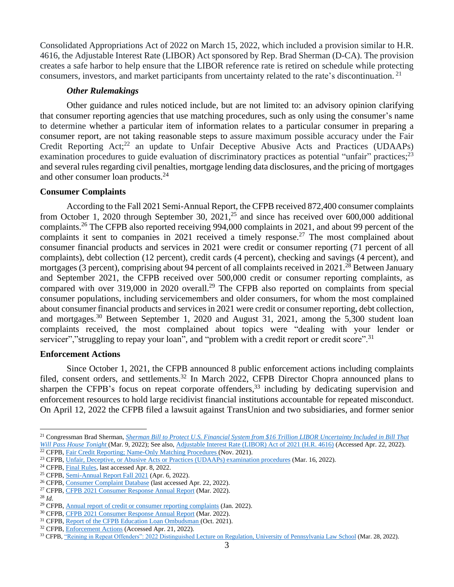Consolidated Appropriations Act of 2022 on March 15, 2022, which included a provision similar to H.R. 4616, the Adjustable Interest Rate (LIBOR) Act sponsored by Rep. Brad Sherman (D-CA). The provision creates a safe harbor to help ensure that the LIBOR reference rate is retired on schedule while protecting consumers, investors, and market participants from uncertainty related to the rate's discontinuation.<sup>21</sup>

#### *Other Rulemakings*

Other guidance and rules noticed include, but are not limited to: an advisory opinion clarifying that consumer reporting agencies that use matching procedures, such as only using the consumer's name to determine whether a particular item of information relates to a particular consumer in preparing a consumer report, are not taking reasonable steps to assure maximum possible accuracy under the Fair Credit Reporting Act;<sup>22</sup> an update to Unfair Deceptive Abusive Acts and Practices (UDAAPs) examination procedures to guide evaluation of discriminatory practices as potential "unfair" practices;<sup>23</sup> and several rules regarding civil penalties, mortgage lending data disclosures, and the pricing of mortgages and other consumer loan products.<sup>24</sup>

#### **Consumer Complaints**

According to the Fall 2021 Semi-Annual Report, the CFPB received 872,400 consumer complaints from October 1, 2020 through September 30, 2021,<sup>25</sup> and since has received over 600,000 additional complaints.<sup>26</sup> The CFPB also reported receiving 994,000 complaints in 2021, and about 99 percent of the complaints it sent to companies in 2021 received a timely response.<sup>27</sup> The most complained about consumer financial products and services in 2021 were credit or consumer reporting (71 percent of all complaints), debt collection (12 percent), credit cards (4 percent), checking and savings (4 percent), and mortgages (3 percent), comprising about 94 percent of all complaints received in 2021.<sup>28</sup> Between January and September 2021, the CFPB received over 500,000 credit or consumer reporting complaints, as compared with over 319,000 in 2020 overall.<sup>29</sup> The CFPB also reported on complaints from special consumer populations, including servicemembers and older consumers, for whom the most complained about consumer financial products and services in 2021 were credit or consumer reporting, debt collection, and mortgages.<sup>30</sup> Between September 1, 2020 and August 31, 2021, among the 5,300 student loan complaints received, the most complained about topics were "dealing with your lender or servicer", "struggling to repay your loan", and "problem with a credit report or credit score".<sup>31</sup>

#### **Enforcement Actions**

Since October 1, 2021, the CFPB announced 8 public enforcement actions including complaints filed, consent orders, and settlements.<sup>32</sup> In March 2022, CFPB Director Chopra announced plans to sharpen the CFPB's focus on repeat corporate offenders,  $33$  including by dedicating supervision and enforcement resources to hold large recidivist financial institutions accountable for repeated misconduct. On April 12, 2022 the CFPB filed a lawsuit against TransUnion and two subsidiaries, and former senior

<sup>21</sup> Congressman Brad Sherman, *[Sherman Bill to Protect U.S. Financial System from \\$16 Trillion LIBOR Uncertainty Included in Bill That](https://sherman.house.gov/media-center/press-releases/sherman-bill-to-protect-us-financial-system-from-16-trillion-libor-0)  [Will Pass House](https://sherman.house.gov/media-center/press-releases/sherman-bill-to-protect-us-financial-system-from-16-trillion-libor-0) Tonight* (Mar. 9, 2022); See also[, Adjustable Interest Rate \(LIBOR\) Act of 2021 \(H.R. 4616\)](https://www.govtrack.us/congress/bills/117/hr4616) (Accessed Apr. 22, 2022).

<sup>&</sup>lt;sup>22</sup> CFPB, [Fair Credit Reporting; Name-Only Matching Procedures \(](https://www.consumerfinance.gov/rules-policy/final-rules/fair-credit-reporting-name-only-matching-procedures/)Nov. 2021).

<sup>&</sup>lt;sup>23</sup> CFPB, [Unfair, Deceptive, or Abusive Acts or Practices \(UDAAPs\) examination procedures](https://www.consumerfinance.gov/compliance/supervision-examinations/unfair-deceptive-or-abusive-acts-or-practices-udaaps-examination-procedures/?_gl=1*1n8axth*_ga*NDIwODI0MzMxLjE2MjA2NTE3NDg.*_ga_DBYJL30CHS*MTY0OTI4MzIzNS4xOTEuMS4xNjQ5MjgzNDY0LjA.) (Mar. 16, 2022).

<sup>24</sup> CFPB, [Final Rules,](https://www.consumerfinance.gov/rules-policy/final-rules/) last accessed Apr. 8, 2022.

<sup>25</sup> CFPB, [Semi-Annual Report Fall 2021](https://files.consumerfinance.gov/f/documents/cfpb_semi-annual-report-to-congress_2022-04.pdf) (Apr. 6, 2022).

<sup>26</sup> CFPB, [Consumer Complaint Database](https://www.consumerfinance.gov/data-research/consumer-complaints/) (last accessed Apr. 22, 2022).

<sup>&</sup>lt;sup>27</sup> CFPB, [CFPB 2021 Consumer Response Annual Report](https://files.consumerfinance.gov/f/documents/cfpb_2021-consumer-response-annual-report_2022-03.pdf) (Mar. 2022).

<sup>28</sup> *Id.*

<sup>&</sup>lt;sup>29</sup> CFPB, [Annual report of credit or consumer reporting complaints](https://files.consumerfinance.gov/f/documents/cfpb_fcra-611-e_report_2022-01.pdf) (Jan. 2022).

<sup>30</sup> CFPB, [CFPB 2021 Consumer Response Annual Report](https://files.consumerfinance.gov/f/documents/cfpb_2021-consumer-response-annual-report_2022-03.pdf) (Mar. 2022).

<sup>&</sup>lt;sup>31</sup> CFPB, [Report of the CFPB Education Loan Ombudsman](https://files.consumerfinance.gov/f/documents/cfpb_education-loan-ombudsman-annual-report_2021.pdf) (Oct. 2021).

<sup>&</sup>lt;sup>32</sup> CFPB, **Enforcement Actions** (Accessed Apr. 21, 2022).

<sup>33</sup> CFPB[, "Reining in Repeat Offenders": 2022 Distinguished Lecture on Regulation, University of Pennsylvania Law School](https://www.consumerfinance.gov/about-us/newsroom/reining-in-repeat-offenders-2022-distinguished-lecture-on-regulation-university-of-pennsylvania-law-school/) (Mar. 28, 2022).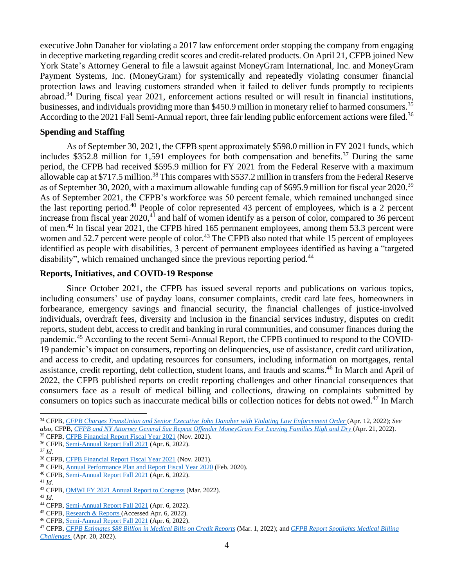executive John Danaher for violating a 2017 law enforcement order stopping the company from engaging in deceptive marketing regarding credit scores and credit-related products. On April 21, CFPB joined New York State's Attorney General to file a lawsuit against MoneyGram International, Inc. and MoneyGram Payment Systems, Inc. (MoneyGram) for systemically and repeatedly violating consumer financial protection laws and leaving customers stranded when it failed to deliver funds promptly to recipients abroad.<sup>34</sup> During fiscal year 2021, enforcement actions resulted or will result in financial institutions, businesses, and individuals providing more than \$450.9 million in monetary relief to harmed consumers.<sup>35</sup> According to the 2021 Fall Semi-Annual report, three fair lending public enforcement actions were filed.<sup>36</sup>

#### **Spending and Staffing**

As of September 30, 2021, the CFPB spent approximately \$598.0 million in FY 2021 funds, which includes \$352.8 million for 1,591 employees for both compensation and benefits.<sup>37</sup> During the same period, the CFPB had received \$595.9 million for FY 2021 from the Federal Reserve with a maximum allowable cap at \$717.5 million.<sup>38</sup> This compares with \$537.2 million in transfers from the Federal Reserve as of September 30, 2020, with a maximum allowable funding cap of \$695.9 million for fiscal year 2020.<sup>39</sup> As of September 2021, the CFPB's workforce was 50 percent female, which remained unchanged since the last reporting period.<sup>40</sup> People of color represented 43 percent of employees, which is a 2 percent increase from fiscal year 2020,<sup>41</sup> and half of women identify as a person of color, compared to 36 percent of men.<sup>42</sup> In fiscal year 2021, the CFPB hired 165 permanent employees, among them 53.3 percent were women and 52.7 percent were people of color.<sup>43</sup> The CFPB also noted that while 15 percent of employees identified as people with disabilities, 3 percent of permanent employees identified as having a "targeted disability", which remained unchanged since the previous reporting period.<sup>44</sup>

## **Reports, Initiatives, and COVID-19 Response**

Since October 2021, the CFPB has issued several reports and publications on various topics, including consumers' use of payday loans, consumer complaints, credit card late fees, homeowners in forbearance, emergency savings and financial security, the financial challenges of justice-involved individuals, overdraft fees, diversity and inclusion in the financial services industry, disputes on credit reports, student debt, access to credit and banking in rural communities, and consumer finances during the pandemic.<sup>45</sup> According to the recent Semi-Annual Report, the CFPB continued to respond to the COVID-19 pandemic's impact on consumers, reporting on delinquencies, use of assistance, credit card utilization, and access to credit, and updating resources for consumers, including information on mortgages, rental assistance, credit reporting, debt collection, student loans, and frauds and scams. <sup>46</sup> In March and April of 2022, the CFPB published reports on credit reporting challenges and other financial consequences that consumers face as a result of medical billing and collections, drawing on complaints submitted by consumers on topics such as inaccurate medical bills or collection notices for debts not owed. <sup>47</sup> In March

<sup>43</sup> *Id.*

<sup>34</sup> CFPB, *[CFPB Charges TransUnion and Senior Executive John Danaher with Violating Law Enforcement Order](https://www.consumerfinance.gov/about-us/newsroom/cfpb-charges-transunion-and-senior-executive-john-danaher-with-violating-law-enforcement-order/)* (Apr. 12, 2022); *See also*, CFPB, *[CFPB and NY Attorney General Sue Repeat Offender MoneyGram For Leaving Families High and Dry](https://www.consumerfinance.gov/about-us/newsroom/cfpb-and-ny-attorney-general-sue-repeat-offender-moneygram-for-leaving-families-high-and-dry/)* (Apr. 21, 2022).

<sup>35</sup> CFPB, [CFPB Financial Report Fiscal Year 2021](https://files.consumerfinance.gov/f/documents/cfpb_financial-report_fy2021.pdf) (Nov. 2021).

<sup>36</sup> CFPB, [Semi-Annual Report Fall 2021](https://files.consumerfinance.gov/f/documents/cfpb_semi-annual-report-to-congress_2022-04.pdf) (Apr. 6, 2022).

*<sup>37</sup> Id.*

<sup>&</sup>lt;sup>38</sup> CFPB, [CFPB Financial Report Fiscal Year 2021](https://files.consumerfinance.gov/f/documents/cfpb_financial-report_fy2021.pdf) (Nov. 2021).

<sup>&</sup>lt;sup>39</sup> CFPB, [Annual Performance Plan and Report Fiscal Year 2020](https://files.consumerfinance.gov/f/documents/cfpb_performance-plan-and-report_fy20.pdf) (Feb. 2020).

<sup>40</sup> CFPB, [Semi-Annual Report Fall 2021](https://files.consumerfinance.gov/f/documents/cfpb_semi-annual-report-to-congress_2022-04.pdf) (Apr. 6, 2022).

<sup>41</sup> *Id.*

<sup>42</sup> CFPB, [OMWI FY 2021 Annual Report to Congress](https://files.consumerfinance.gov/f/documents/cfpb_2021-omwi-annual-report_2022-03.pdf) (Mar. 2022).

<sup>44</sup> CFPB, [Semi-Annual Report Fall 2021](https://files.consumerfinance.gov/f/documents/cfpb_semi-annual-report-to-congress_2022-04.pdf) (Apr. 6, 2022).

<sup>45</sup> CFPB, [Research & Reports \(](https://www.consumerfinance.gov/data-research/research-reports/?title=&from_date=2021-10-01&to_date=2022-04-06)Accessed Apr. 6, 2022).

<sup>46</sup> CFPB, [Semi-Annual Report Fall 2021](https://files.consumerfinance.gov/f/documents/cfpb_semi-annual-report-to-congress_2022-04.pdf) (Apr. 6, 2022).

<sup>47</sup> CFPB, *[CFPB Estimates \\$88 Billion in Medical Bills on Credit Reports](https://www.consumerfinance.gov/about-us/newsroom/cfpb-estimates-88-billion-in-medical-bills-on-credit-reports/)* (Mar. 1, 2022); and *[CFPB Report Spotlights Medical Billing](https://www.consumerfinance.gov/about-us/newsroom/cfpb-report-spotlights-medical-billing-challenges/)  [Challenges](https://www.consumerfinance.gov/about-us/newsroom/cfpb-report-spotlights-medical-billing-challenges/)* (Apr. 20, 2022).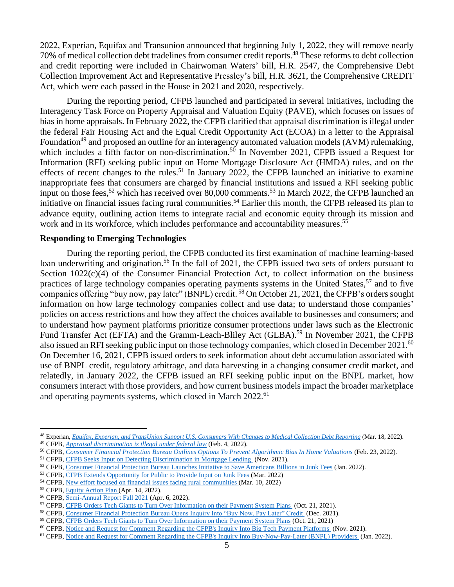2022, Experian, Equifax and Transunion announced that beginning July 1, 2022, they will remove nearly 70% of medical collection debt tradelines from consumer credit reports. <sup>48</sup> These reforms to debt collection and credit reporting were included in Chairwoman Waters' bill, H.R. 2547, the Comprehensive Debt Collection Improvement Act and Representative Pressley's bill, H.R. 3621, the Comprehensive CREDIT Act, which were each passed in the House in 2021 and 2020, respectively.

During the reporting period, CFPB launched and participated in several initiatives, including the Interagency Task Force on Property Appraisal and Valuation Equity (PAVE), which focuses on issues of bias in home appraisals. In February 2022, the CFPB clarified that appraisal discrimination is illegal under the federal Fair Housing Act and the Equal Credit Opportunity Act (ECOA) in a letter to the Appraisal Foundation<sup>49</sup> and proposed an outline for an interagency automated valuation models (AVM) rulemaking, which includes a fifth factor on non-discrimination.<sup>50</sup> In November 2021, CFPB issued a Request for Information (RFI) seeking public input on Home Mortgage Disclosure Act (HMDA) rules, and on the effects of recent changes to the rules.<sup>51</sup> In January 2022, the CFPB launched an initiative to examine inappropriate fees that consumers are charged by financial institutions and issued a RFI seeking public input on those fees, <sup>52</sup> which has received over 80,000 comments. <sup>53</sup> In March 2022, the CFPB launched an initiative on financial issues facing rural communities.<sup>54</sup> Earlier this month, the CFPB released its plan to advance equity, outlining action items to integrate racial and economic equity through its mission and work and in its workforce, which includes performance and accountability measures.<sup>55</sup>

#### **Responding to Emerging Technologies**

During the reporting period, the CFPB conducted its first examination of machine learning-based loan underwriting and origination.<sup>56</sup> In the fall of 2021, the CFPB issued two sets of orders pursuant to Section 1022(c)(4) of the Consumer Financial Protection Act, to collect information on the business practices of large technology companies operating payments systems in the United States,<sup>57</sup> and to five companies offering "buy now, pay later" (BNPL) credit. <sup>58</sup> On October 21, 2021, the CFPB's orders sought information on how large technology companies collect and use data; to understand those companies' policies on access restrictions and how they affect the choices available to businesses and consumers; and to understand how payment platforms prioritize consumer protections under laws such as the Electronic Fund Transfer Act (EFTA) and the Gramm-Leach-Bliley Act (GLBA).<sup>59</sup> In November 2021, the CFPB also issued an RFI seeking public input on those technology companies, which closed in December 2021.<sup>60</sup> On December 16, 2021, CFPB issued orders to seek information about debt accumulation associated with use of BNPL credit, regulatory arbitrage, and data harvesting in a changing consumer credit market, and relatedly, in January 2022, the CFPB issued an RFI seeking public input on the BNPL market, how consumers interact with those providers, and how current business models impact the broader marketplace and operating payments systems, which closed in March 2022.<sup>61</sup>

<sup>52</sup> CFPB, [Consumer Financial Protection Bureau Launches Initiative to Save Americans Billions in Junk Fees](https://www.consumerfinance.gov/about-us/newsroom/consumer-financial-protection-bureau-launches-initiative-to-save-americans-billions-in-junk-fees/) (Jan. 2022).

<sup>48</sup> Experian, *[Equifax, Experian, and TransUnion Support U.S. Consumers With Changes to Medical Collection Debt Reporting](https://www.experianplc.com/media/latest-news/2022/equifax-experian-and-transunion-support-us-consumers-with-changes-to-medical-collection-debt-reporting/)* (Mar. 18, 2022).

<sup>49</sup> CFPB, *[Appraisal discrimination is illegal under federal law](https://www.consumerfinance.gov/about-us/blog/appraisal-discrimination-illegal-under-federal-law/)* (Feb. 4, 2022).

<sup>50</sup> CFPB, *[Consumer Financial Protection Bureau Outlines Options To Prevent Algorithmic Bias In Home Valuations](https://www.consumerfinance.gov/about-us/newsroom/cfpb-outlines-options-to-prevent-algorithmic-bias-in-home-valuations/)* (Feb. 23, 2022).

<sup>&</sup>lt;sup>51</sup> CFPB, [CFPB Seeks Input on Detecting Discrimination in Mortgage Lending](https://www.consumerfinance.gov/about-us/newsroom/cfpb-seeks-input-on-detecting-discrimination-in-mortgage-lending/) (Nov. 2021).

<sup>53</sup> CFPB, [CFPB Extends Opportunity for Public to Provide Input on Junk Fees \(](https://www.consumerfinance.gov/about-us/blog/cfpb-extends-opportunity-for-public-to-provide-input-on-junk-fees/?_gl=1*krhusd*_ga*NDIwODI0MzMxLjE2MjA2NTE3NDg.*_ga_DBYJL30CHS*MTY0ODg0OTQ3MS4xNzkuMS4xNjQ4ODUwOTU0LjA.)Mar. 2022)

<sup>&</sup>lt;sup>54</sup> CFPB, <u>New effort focused on financial issues facing rural communities (Mar. 10, 2022)</u>

<sup>&</sup>lt;sup>55</sup> CFPB, **Equity Action Plan** (Apr. 14, 2022).

<sup>56</sup> CFPB, [Semi-Annual Report Fall 2021](https://files.consumerfinance.gov/f/documents/cfpb_semi-annual-report-to-congress_2022-04.pdf) (Apr. 6, 2022).

<sup>57</sup> CFPB, [CFPB Orders Tech Giants to Turn Over Information on their Payment System Plans \(](https://www.consumerfinance.gov/about-us/newsroom/cfpb-orders-tech-giants-to-turn-over-information-on-their-payment-system-plans/?msclkid=52b46df6b60111ecaff92c3b35e73db2)Oct. 21, 2021).

<sup>58</sup> CFPB, [Consumer Financial Protection Bureau Opens Inquiry Into "Buy Now, Pay Later" Credit](https://www.consumerfinance.gov/about-us/newsroom/consumer-financial-protection-bureau-opens-inquiry-into-buy-now-pay-later-credit/?msclkid=9cc7f919b60111ecbf24d5d0e3729e1c) (Dec. 2021).

<sup>59</sup> CFPB, [CFPB Orders Tech Giants to Turn Over Information on their Payment System Plans](https://www.consumerfinance.gov/about-us/newsroom/cfpb-orders-tech-giants-to-turn-over-information-on-their-payment-system-plans/) (Oct. 21, 2021)

<sup>60</sup> CFPB, [Notice and Request for Comment Regarding the CFPB's Inquiry Into Big Tech Payment Platforms \(](https://www.consumerfinance.gov/rules-policy/notice-opportunities-comment/open-notices/notice-and-request-for-comment-regarding-the-cfpbs-inquiry-into-big-tech-payment-platforms/)Nov. 2021).

<sup>61</sup> CFPB, [Notice and Request for Comment Regarding the CFPB's Inquiry Into Buy-Now-Pay-Later \(BNPL\) Providers](https://www.consumerfinance.gov/rules-policy/notice-opportunities-comment/open-notices/notice-and-request-for-comment-regarding-cfpbs-inquiry-into-bnpl-providers/) (Jan. 2022).